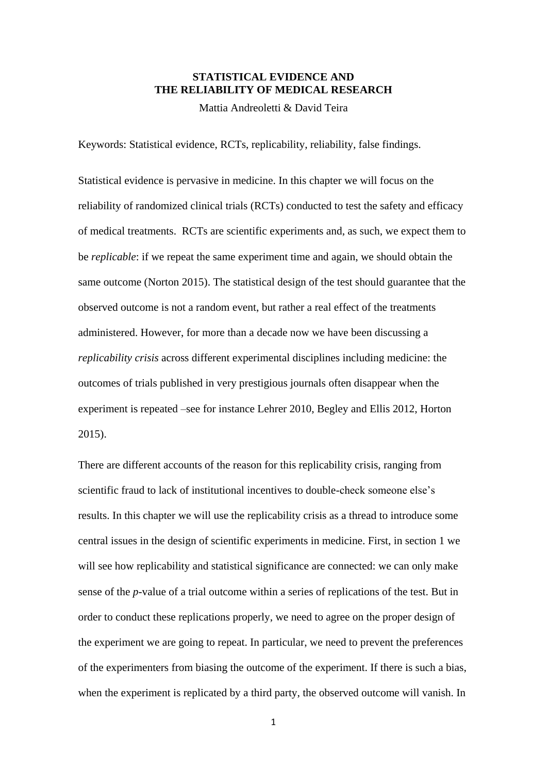# **STATISTICAL EVIDENCE AND THE RELIABILITY OF MEDICAL RESEARCH**

Mattia Andreoletti & David Teira

Keywords: Statistical evidence, RCTs, replicability, reliability, false findings.

Statistical evidence is pervasive in medicine. In this chapter we will focus on the reliability of randomized clinical trials (RCTs) conducted to test the safety and efficacy of medical treatments. RCTs are scientific experiments and, as such, we expect them to be *replicable*: if we repeat the same experiment time and again, we should obtain the same outcome (Norton 2015). The statistical design of the test should guarantee that the observed outcome is not a random event, but rather a real effect of the treatments administered. However, for more than a decade now we have been discussing a *replicability crisis* across different experimental disciplines including medicine: the outcomes of trials published in very prestigious journals often disappear when the experiment is repeated –see for instance Lehrer 2010, Begley and Ellis 2012, Horton 2015).

There are different accounts of the reason for this replicability crisis, ranging from scientific fraud to lack of institutional incentives to double-check someone else's results. In this chapter we will use the replicability crisis as a thread to introduce some central issues in the design of scientific experiments in medicine. First, in section 1 we will see how replicability and statistical significance are connected: we can only make sense of the *p*-value of a trial outcome within a series of replications of the test. But in order to conduct these replications properly, we need to agree on the proper design of the experiment we are going to repeat. In particular, we need to prevent the preferences of the experimenters from biasing the outcome of the experiment. If there is such a bias, when the experiment is replicated by a third party, the observed outcome will vanish. In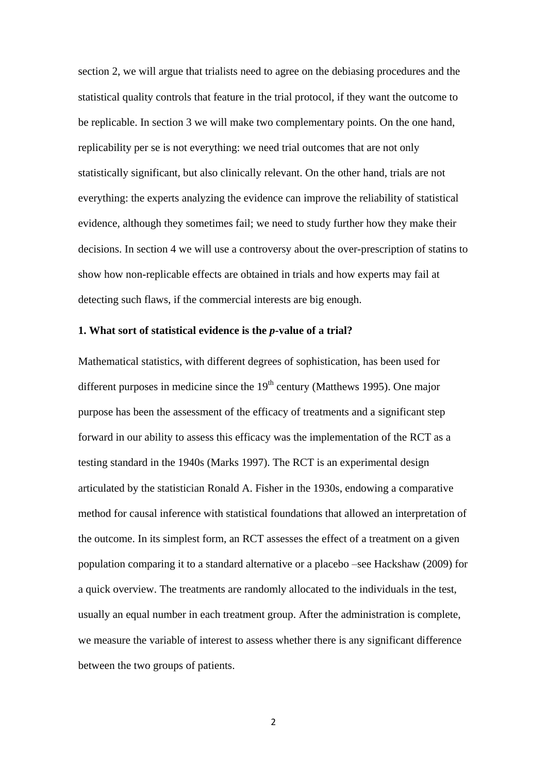section 2, we will argue that trialists need to agree on the debiasing procedures and the statistical quality controls that feature in the trial protocol, if they want the outcome to be replicable. In section 3 we will make two complementary points. On the one hand, replicability per se is not everything: we need trial outcomes that are not only statistically significant, but also clinically relevant. On the other hand, trials are not everything: the experts analyzing the evidence can improve the reliability of statistical evidence, although they sometimes fail; we need to study further how they make their decisions. In section 4 we will use a controversy about the over-prescription of statins to show how non-replicable effects are obtained in trials and how experts may fail at detecting such flaws, if the commercial interests are big enough.

#### **1. What sort of statistical evidence is the** *p***-value of a trial?**

Mathematical statistics, with different degrees of sophistication, has been used for different purposes in medicine since the  $19<sup>th</sup>$  century (Matthews 1995). One major purpose has been the assessment of the efficacy of treatments and a significant step forward in our ability to assess this efficacy was the implementation of the RCT as a testing standard in the 1940s (Marks 1997). The RCT is an experimental design articulated by the statistician Ronald A. Fisher in the 1930s, endowing a comparative method for causal inference with statistical foundations that allowed an interpretation of the outcome. In its simplest form, an RCT assesses the effect of a treatment on a given population comparing it to a standard alternative or a placebo –see Hackshaw (2009) for a quick overview. The treatments are randomly allocated to the individuals in the test, usually an equal number in each treatment group. After the administration is complete, we measure the variable of interest to assess whether there is any significant difference between the two groups of patients.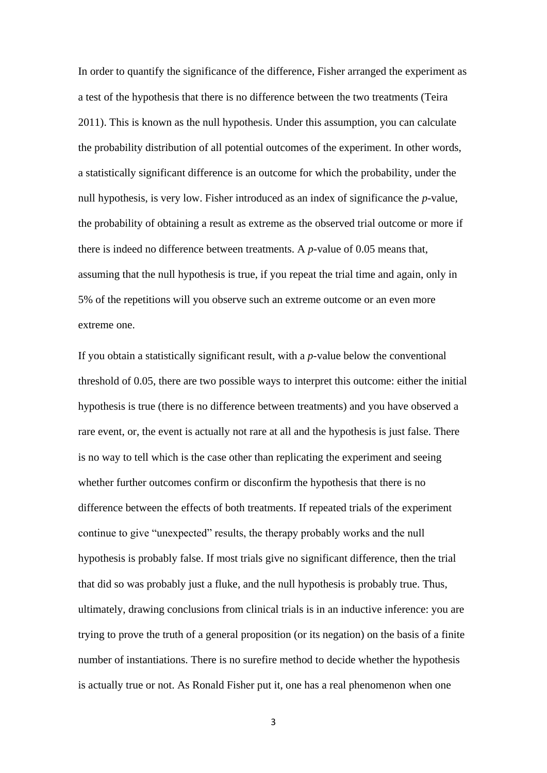In order to quantify the significance of the difference, Fisher arranged the experiment as a test of the hypothesis that there is no difference between the two treatments (Teira 2011). This is known as the null hypothesis. Under this assumption, you can calculate the probability distribution of all potential outcomes of the experiment. In other words, a statistically significant difference is an outcome for which the probability, under the null hypothesis, is very low. Fisher introduced as an index of significance the *p*-value, the probability of obtaining a result as extreme as the observed trial outcome or more if there is indeed no difference between treatments. A *p*-value of 0.05 means that, assuming that the null hypothesis is true, if you repeat the trial time and again, only in 5% of the repetitions will you observe such an extreme outcome or an even more extreme one.

If you obtain a statistically significant result, with a *p*-value below the conventional threshold of 0.05, there are two possible ways to interpret this outcome: either the initial hypothesis is true (there is no difference between treatments) and you have observed a rare event, or, the event is actually not rare at all and the hypothesis is just false. There is no way to tell which is the case other than replicating the experiment and seeing whether further outcomes confirm or disconfirm the hypothesis that there is no difference between the effects of both treatments. If repeated trials of the experiment continue to give "unexpected" results, the therapy probably works and the null hypothesis is probably false. If most trials give no significant difference, then the trial that did so was probably just a fluke, and the null hypothesis is probably true. Thus, ultimately, drawing conclusions from clinical trials is in an inductive inference: you are trying to prove the truth of a general proposition (or its negation) on the basis of a finite number of instantiations. There is no surefire method to decide whether the hypothesis is actually true or not. As Ronald Fisher put it, one has a real phenomenon when one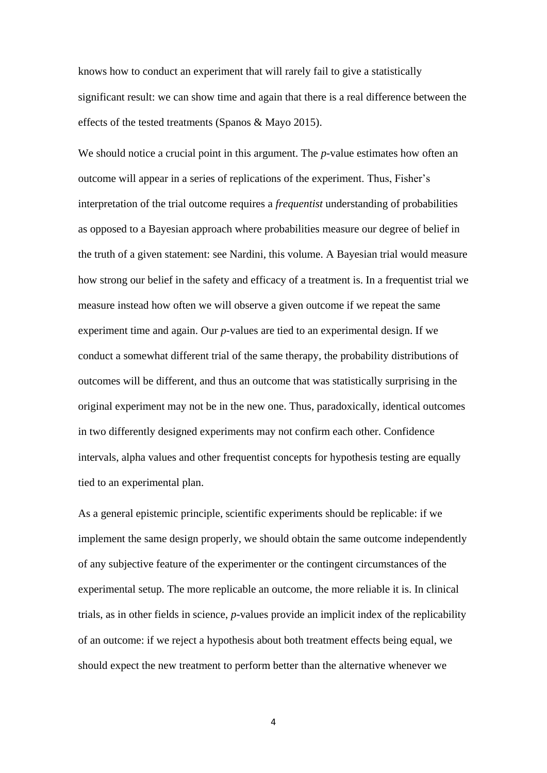knows how to conduct an experiment that will rarely fail to give a statistically significant result: we can show time and again that there is a real difference between the effects of the tested treatments (Spanos & Mayo 2015).

We should notice a crucial point in this argument. The *p*-value estimates how often an outcome will appear in a series of replications of the experiment. Thus, Fisher's interpretation of the trial outcome requires a *frequentist* understanding of probabilities as opposed to a Bayesian approach where probabilities measure our degree of belief in the truth of a given statement: see Nardini, this volume. A Bayesian trial would measure how strong our belief in the safety and efficacy of a treatment is. In a frequentist trial we measure instead how often we will observe a given outcome if we repeat the same experiment time and again. Our *p*-values are tied to an experimental design. If we conduct a somewhat different trial of the same therapy, the probability distributions of outcomes will be different, and thus an outcome that was statistically surprising in the original experiment may not be in the new one. Thus, paradoxically, identical outcomes in two differently designed experiments may not confirm each other. Confidence intervals, alpha values and other frequentist concepts for hypothesis testing are equally tied to an experimental plan.

As a general epistemic principle, scientific experiments should be replicable: if we implement the same design properly, we should obtain the same outcome independently of any subjective feature of the experimenter or the contingent circumstances of the experimental setup. The more replicable an outcome, the more reliable it is. In clinical trials, as in other fields in science, *p*-values provide an implicit index of the replicability of an outcome: if we reject a hypothesis about both treatment effects being equal, we should expect the new treatment to perform better than the alternative whenever we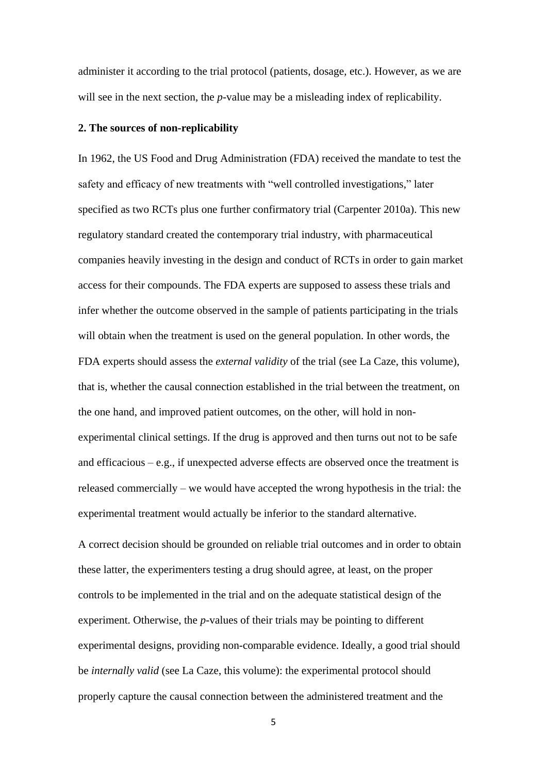administer it according to the trial protocol (patients, dosage, etc.). However, as we are will see in the next section, the *p*-value may be a misleading index of replicability.

#### **2. The sources of non-replicability**

In 1962, the US Food and Drug Administration (FDA) received the mandate to test the safety and efficacy of new treatments with "well controlled investigations," later specified as two RCTs plus one further confirmatory trial (Carpenter 2010a). This new regulatory standard created the contemporary trial industry, with pharmaceutical companies heavily investing in the design and conduct of RCTs in order to gain market access for their compounds. The FDA experts are supposed to assess these trials and infer whether the outcome observed in the sample of patients participating in the trials will obtain when the treatment is used on the general population. In other words, the FDA experts should assess the *external validity* of the trial (see La Caze, this volume), that is, whether the causal connection established in the trial between the treatment, on the one hand, and improved patient outcomes, on the other, will hold in nonexperimental clinical settings. If the drug is approved and then turns out not to be safe and efficacious – e.g., if unexpected adverse effects are observed once the treatment is released commercially – we would have accepted the wrong hypothesis in the trial: the experimental treatment would actually be inferior to the standard alternative.

A correct decision should be grounded on reliable trial outcomes and in order to obtain these latter, the experimenters testing a drug should agree, at least, on the proper controls to be implemented in the trial and on the adequate statistical design of the experiment. Otherwise, the *p*-values of their trials may be pointing to different experimental designs, providing non-comparable evidence. Ideally, a good trial should be *internally valid* (see La Caze, this volume): the experimental protocol should properly capture the causal connection between the administered treatment and the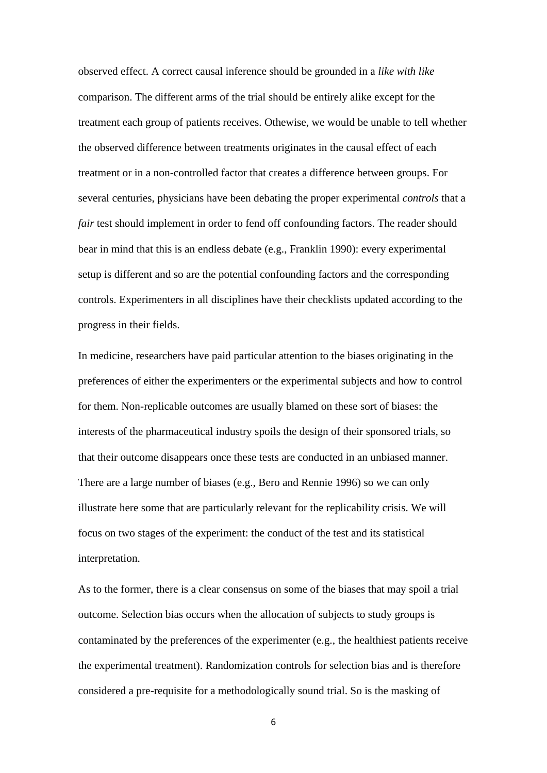observed effect. A correct causal inference should be grounded in a *like with like* comparison. The different arms of the trial should be entirely alike except for the treatment each group of patients receives. Othewise, we would be unable to tell whether the observed difference between treatments originates in the causal effect of each treatment or in a non-controlled factor that creates a difference between groups. For several centuries, physicians have been debating the proper experimental *controls* that a *fair* test should implement in order to fend off confounding factors. The reader should bear in mind that this is an endless debate (e.g., Franklin 1990): every experimental setup is different and so are the potential confounding factors and the corresponding controls. Experimenters in all disciplines have their checklists updated according to the progress in their fields.

In medicine, researchers have paid particular attention to the biases originating in the preferences of either the experimenters or the experimental subjects and how to control for them. Non-replicable outcomes are usually blamed on these sort of biases: the interests of the pharmaceutical industry spoils the design of their sponsored trials, so that their outcome disappears once these tests are conducted in an unbiased manner. There are a large number of biases (e.g., Bero and Rennie 1996) so we can only illustrate here some that are particularly relevant for the replicability crisis. We will focus on two stages of the experiment: the conduct of the test and its statistical interpretation.

As to the former, there is a clear consensus on some of the biases that may spoil a trial outcome. Selection bias occurs when the allocation of subjects to study groups is contaminated by the preferences of the experimenter (e.g., the healthiest patients receive the experimental treatment). Randomization controls for selection bias and is therefore considered a pre-requisite for a methodologically sound trial. So is the masking of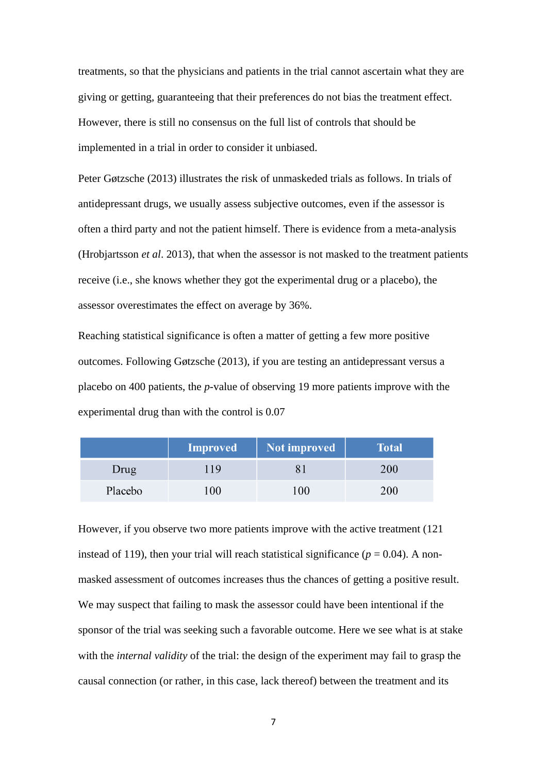treatments, so that the physicians and patients in the trial cannot ascertain what they are giving or getting, guaranteeing that their preferences do not bias the treatment effect. However, there is still no consensus on the full list of controls that should be implemented in a trial in order to consider it unbiased.

Peter Gøtzsche (2013) illustrates the risk of unmaskeded trials as follows. In trials of antidepressant drugs, we usually assess subjective outcomes, even if the assessor is often a third party and not the patient himself. There is evidence from a meta-analysis (Hrobjartsson *et al*. 2013), that when the assessor is not masked to the treatment patients receive (i.e., she knows whether they got the experimental drug or a placebo), the assessor overestimates the effect on average by 36%.

Reaching statistical significance is often a matter of getting a few more positive outcomes. Following Gøtzsche (2013), if you are testing an antidepressant versus a placebo on 400 patients, the *p*-value of observing 19 more patients improve with the experimental drug than with the control is 0.07

|         | <b>Improved</b> | Not improved | <b>Total</b> |
|---------|-----------------|--------------|--------------|
| Drug    | l 1 Q           |              | 200          |
| Placebo | 100             | 100          | 200          |

However, if you observe two more patients improve with the active treatment (121 instead of 119), then your trial will reach statistical significance ( $p = 0.04$ ). A nonmasked assessment of outcomes increases thus the chances of getting a positive result. We may suspect that failing to mask the assessor could have been intentional if the sponsor of the trial was seeking such a favorable outcome. Here we see what is at stake with the *internal validity* of the trial: the design of the experiment may fail to grasp the causal connection (or rather, in this case, lack thereof) between the treatment and its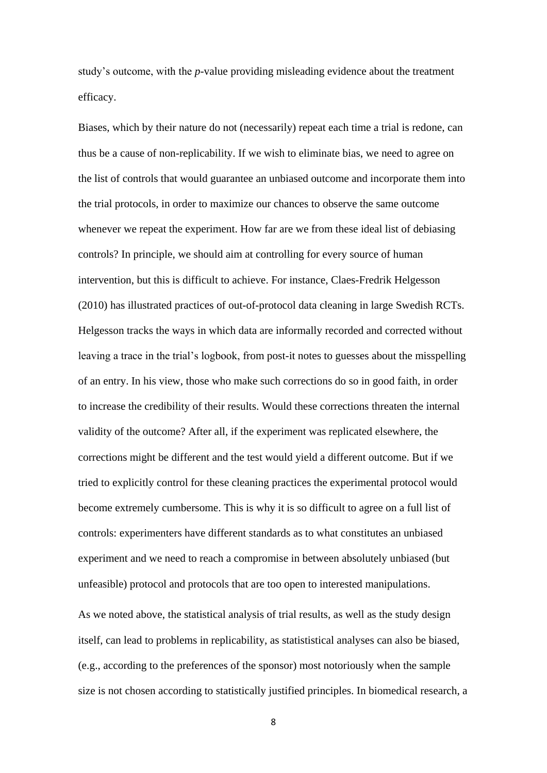study's outcome, with the *p*-value providing misleading evidence about the treatment efficacy.

Biases, which by their nature do not (necessarily) repeat each time a trial is redone, can thus be a cause of non-replicability. If we wish to eliminate bias, we need to agree on the list of controls that would guarantee an unbiased outcome and incorporate them into the trial protocols, in order to maximize our chances to observe the same outcome whenever we repeat the experiment. How far are we from these ideal list of debiasing controls? In principle, we should aim at controlling for every source of human intervention, but this is difficult to achieve. For instance, Claes-Fredrik Helgesson (2010) has illustrated practices of out-of-protocol data cleaning in large Swedish RCTs. Helgesson tracks the ways in which data are informally recorded and corrected without leaving a trace in the trial's logbook, from post-it notes to guesses about the misspelling of an entry. In his view, those who make such corrections do so in good faith, in order to increase the credibility of their results. Would these corrections threaten the internal validity of the outcome? After all, if the experiment was replicated elsewhere, the corrections might be different and the test would yield a different outcome. But if we tried to explicitly control for these cleaning practices the experimental protocol would become extremely cumbersome. This is why it is so difficult to agree on a full list of controls: experimenters have different standards as to what constitutes an unbiased experiment and we need to reach a compromise in between absolutely unbiased (but unfeasible) protocol and protocols that are too open to interested manipulations.

As we noted above, the statistical analysis of trial results, as well as the study design itself, can lead to problems in replicability, as statististical analyses can also be biased, (e.g., according to the preferences of the sponsor) most notoriously when the sample size is not chosen according to statistically justified principles. In biomedical research, a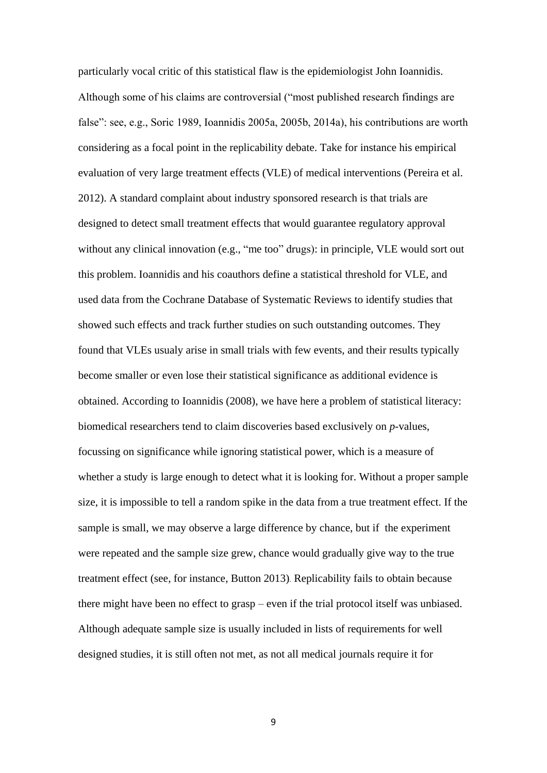particularly vocal critic of this statistical flaw is the epidemiologist John Ioannidis. Although some of his claims are controversial ("most published research findings are false": see, e.g., Soric 1989, Ioannidis 2005a, 2005b, 2014a), his contributions are worth considering as a focal point in the replicability debate. Take for instance his empirical evaluation of very large treatment effects (VLE) of medical interventions (Pereira et al. 2012). A standard complaint about industry sponsored research is that trials are designed to detect small treatment effects that would guarantee regulatory approval without any clinical innovation (e.g., "me too" drugs): in principle, VLE would sort out this problem. Ioannidis and his coauthors define a statistical threshold for VLE, and used data from the Cochrane Database of Systematic Reviews to identify studies that showed such effects and track further studies on such outstanding outcomes. They found that VLEs usualy arise in small trials with few events, and their results typically become smaller or even lose their statistical significance as additional evidence is obtained. According to Ioannidis (2008), we have here a problem of statistical literacy: biomedical researchers tend to claim discoveries based exclusively on *p*-values, focussing on significance while ignoring statistical power, which is a measure of whether a study is large enough to detect what it is looking for. Without a proper sample size, it is impossible to tell a random spike in the data from a true treatment effect. If the sample is small, we may observe a large difference by chance, but if the experiment were repeated and the sample size grew, chance would gradually give way to the true treatment effect (see, for instance, Button 2013). Replicability fails to obtain because there might have been no effect to grasp – even if the trial protocol itself was unbiased. Although adequate sample size is usually included in lists of requirements for well designed studies, it is still often not met, as not all medical journals require it for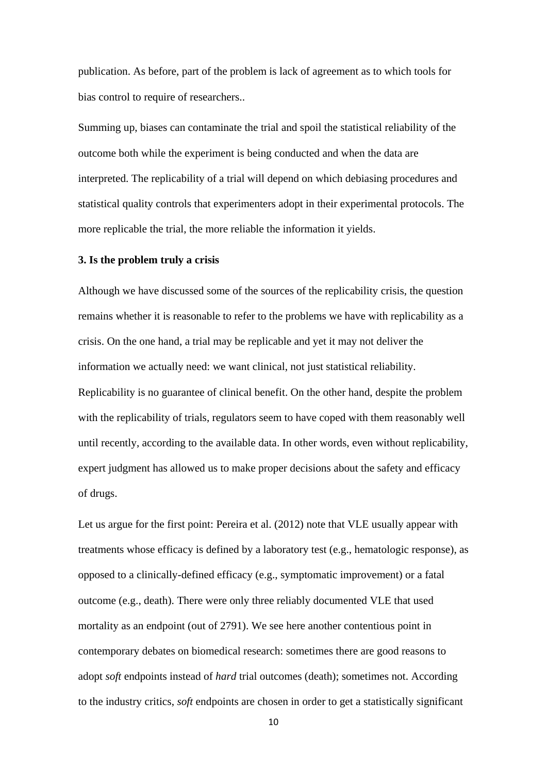publication. As before, part of the problem is lack of agreement as to which tools for bias control to require of researchers..

Summing up, biases can contaminate the trial and spoil the statistical reliability of the outcome both while the experiment is being conducted and when the data are interpreted. The replicability of a trial will depend on which debiasing procedures and statistical quality controls that experimenters adopt in their experimental protocols. The more replicable the trial, the more reliable the information it yields.

#### **3. Is the problem truly a crisis**

Although we have discussed some of the sources of the replicability crisis, the question remains whether it is reasonable to refer to the problems we have with replicability as a crisis. On the one hand, a trial may be replicable and yet it may not deliver the information we actually need: we want clinical, not just statistical reliability. Replicability is no guarantee of clinical benefit. On the other hand, despite the problem with the replicability of trials, regulators seem to have coped with them reasonably well until recently, according to the available data. In other words, even without replicability, expert judgment has allowed us to make proper decisions about the safety and efficacy of drugs.

Let us argue for the first point: Pereira et al. (2012) note that VLE usually appear with treatments whose efficacy is defined by a laboratory test (e.g., hematologic response), as opposed to a clinically-defined efficacy (e.g., symptomatic improvement) or a fatal outcome (e.g., death). There were only three reliably documented VLE that used mortality as an endpoint (out of 2791). We see here another contentious point in contemporary debates on biomedical research: sometimes there are good reasons to adopt *soft* endpoints instead of *hard* trial outcomes (death); sometimes not. According to the industry critics, *soft* endpoints are chosen in order to get a statistically significant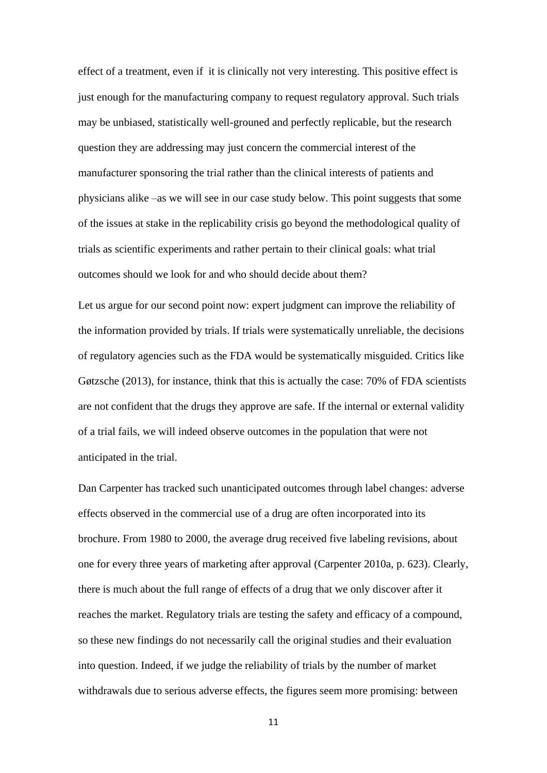effect of a treatment, even if it is clinically not very interesting. This positive effect is just enough for the manufacturing company to request regulatory approval. Such trials may be unbiased, statistically well-grouned and perfectly replicable, but the research question they are addressing may just concern the commercial interest of the manufacturer sponsoring the trial rather than the clinical interests of patients and physicians alike –as we will see in our case study below. This point suggests that some of the issues at stake in the replicability crisis go beyond the methodological quality of trials as scientific experiments and rather pertain to their clinical goals: what trial outcomes should we look for and who should decide about them?

Let us argue for our second point now: expert judgment can improve the reliability of the information provided by trials. If trials were systematically unreliable, the decisions of regulatory agencies such as the FDA would be systematically misguided. Critics like Gøtzsche (2013), for instance, think that this is actually the case: 70% of FDA scientists are not confident that the drugs they approve are safe. If the internal or external validity of a trial fails, we will indeed observe outcomes in the population that were not anticipated in the trial.

Dan Carpenter has tracked such unanticipated outcomes through label changes: adverse effects observed in the commercial use of a drug are often incorporated into its brochure. From 1980 to 2000, the average drug received five labeling revisions, about one for every three years of marketing after approval (Carpenter 2010a, p. 623). Clearly, there is much about the full range of effects of a drug that we only discover after it reaches the market. Regulatory trials are testing the safety and efficacy of a compound, so these new findings do not necessarily call the original studies and their evaluation into question. Indeed, if we judge the reliability of trials by the number of market withdrawals due to serious adverse effects, the figures seem more promising: between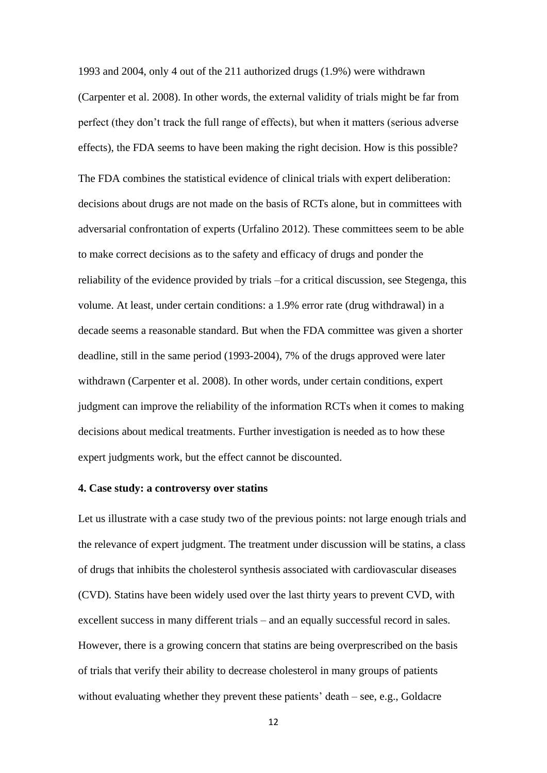1993 and 2004, only 4 out of the 211 authorized drugs (1.9%) were withdrawn (Carpenter et al. 2008). In other words, the external validity of trials might be far from perfect (they don't track the full range of effects), but when it matters (serious adverse effects), the FDA seems to have been making the right decision. How is this possible?

The FDA combines the statistical evidence of clinical trials with expert deliberation: decisions about drugs are not made on the basis of RCTs alone, but in committees with adversarial confrontation of experts (Urfalino 2012). These committees seem to be able to make correct decisions as to the safety and efficacy of drugs and ponder the reliability of the evidence provided by trials –for a critical discussion, see Stegenga, this volume. At least, under certain conditions: a 1.9% error rate (drug withdrawal) in a decade seems a reasonable standard. But when the FDA committee was given a shorter deadline, still in the same period (1993-2004), 7% of the drugs approved were later withdrawn (Carpenter et al. 2008). In other words, under certain conditions, expert judgment can improve the reliability of the information RCTs when it comes to making decisions about medical treatments. Further investigation is needed as to how these expert judgments work, but the effect cannot be discounted.

## **4. Case study: a controversy over statins**

Let us illustrate with a case study two of the previous points: not large enough trials and the relevance of expert judgment. The treatment under discussion will be statins, a class of drugs that inhibits the cholesterol synthesis associated with cardiovascular diseases (CVD). Statins have been widely used over the last thirty years to prevent CVD, with excellent success in many different trials – and an equally successful record in sales. However, there is a growing concern that statins are being overprescribed on the basis of trials that verify their ability to decrease cholesterol in many groups of patients without evaluating whether they prevent these patients' death – see, e.g., Goldacre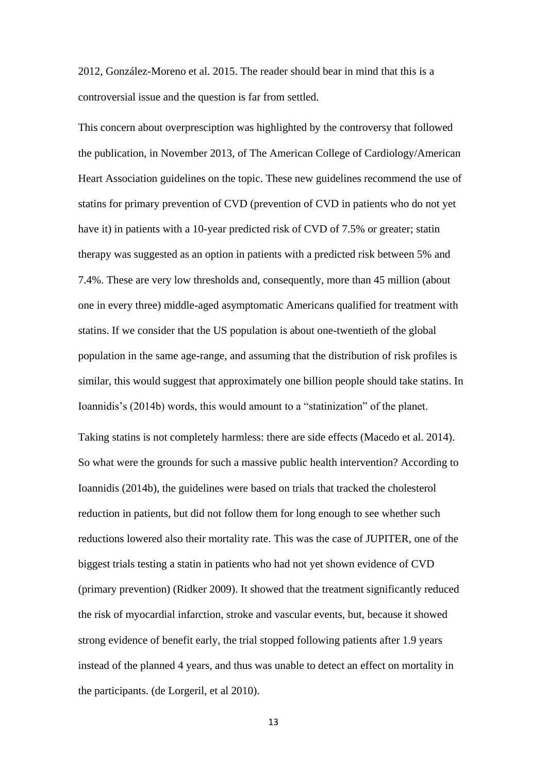2012, González-Moreno et al. 2015. The reader should bear in mind that this is a controversial issue and the question is far from settled.

This concern about overpresciption was highlighted by the controversy that followed the publication, in November 2013, of The American College of Cardiology/American Heart Association guidelines on the topic. These new guidelines recommend the use of statins for primary prevention of CVD (prevention of CVD in patients who do not yet have it) in patients with a 10-year predicted risk of CVD of 7.5% or greater; statin therapy was suggested as an option in patients with a predicted risk between 5% and 7.4%. These are very low thresholds and, consequently, more than 45 million (about one in every three) middle-aged asymptomatic Americans qualified for treatment with statins. If we consider that the US population is about one-twentieth of the global population in the same age-range, and assuming that the distribution of risk profiles is similar, this would suggest that approximately one billion people should take statins. In Ioannidis's (2014b) words, this would amount to a "statinization" of the planet.

Taking statins is not completely harmless: there are side effects (Macedo et al. 2014). So what were the grounds for such a massive public health intervention? According to Ioannidis (2014b), the guidelines were based on trials that tracked the cholesterol reduction in patients, but did not follow them for long enough to see whether such reductions lowered also their mortality rate. This was the case of JUPITER, one of the biggest trials testing a statin in patients who had not yet shown evidence of CVD (primary prevention) (Ridker 2009). It showed that the treatment significantly reduced the risk of myocardial infarction, stroke and vascular events, but, because it showed strong evidence of benefit early, the trial stopped following patients after 1.9 years instead of the planned 4 years, and thus was unable to detect an effect on mortality in the participants. (de Lorgeril, et al 2010).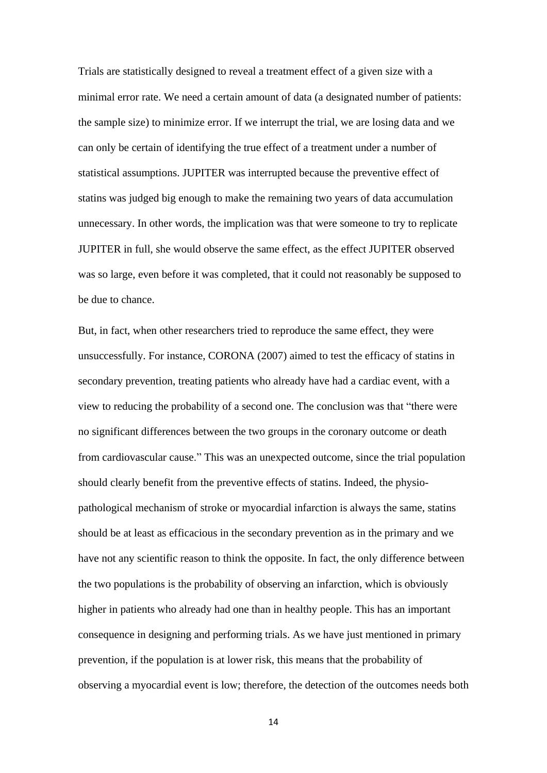Trials are statistically designed to reveal a treatment effect of a given size with a minimal error rate. We need a certain amount of data (a designated number of patients: the sample size) to minimize error. If we interrupt the trial, we are losing data and we can only be certain of identifying the true effect of a treatment under a number of statistical assumptions. JUPITER was interrupted because the preventive effect of statins was judged big enough to make the remaining two years of data accumulation unnecessary. In other words, the implication was that were someone to try to replicate JUPITER in full, she would observe the same effect, as the effect JUPITER observed was so large, even before it was completed, that it could not reasonably be supposed to be due to chance.

But, in fact, when other researchers tried to reproduce the same effect, they were unsuccessfully. For instance, CORONA (2007) aimed to test the efficacy of statins in secondary prevention, treating patients who already have had a cardiac event, with a view to reducing the probability of a second one. The conclusion was that "there were no significant differences between the two groups in the coronary outcome or death from cardiovascular cause." This was an unexpected outcome, since the trial population should clearly benefit from the preventive effects of statins. Indeed, the physiopathological mechanism of stroke or myocardial infarction is always the same, statins should be at least as efficacious in the secondary prevention as in the primary and we have not any scientific reason to think the opposite. In fact, the only difference between the two populations is the probability of observing an infarction, which is obviously higher in patients who already had one than in healthy people. This has an important consequence in designing and performing trials. As we have just mentioned in primary prevention, if the population is at lower risk, this means that the probability of observing a myocardial event is low; therefore, the detection of the outcomes needs both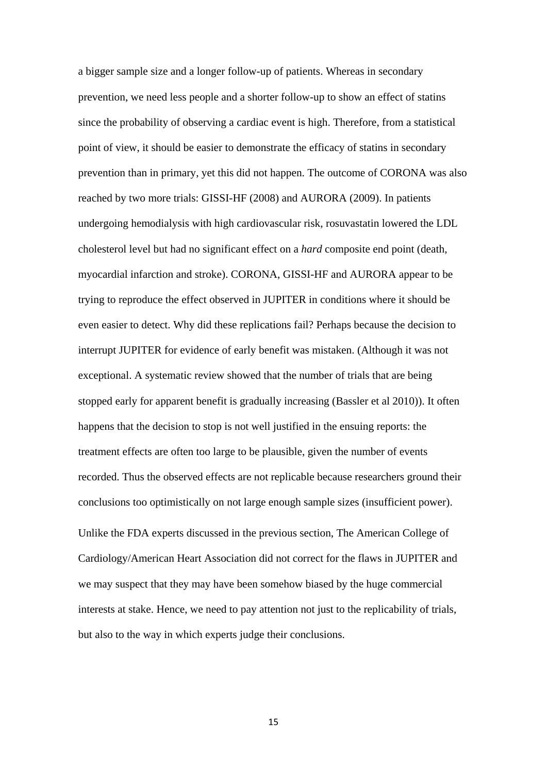a bigger sample size and a longer follow-up of patients. Whereas in secondary prevention, we need less people and a shorter follow-up to show an effect of statins since the probability of observing a cardiac event is high. Therefore, from a statistical point of view, it should be easier to demonstrate the efficacy of statins in secondary prevention than in primary, yet this did not happen. The outcome of CORONA was also reached by two more trials: GISSI-HF (2008) and AURORA (2009). In patients undergoing hemodialysis with high cardiovascular risk, rosuvastatin lowered the LDL cholesterol level but had no significant effect on a *hard* composite end point (death, myocardial infarction and stroke). CORONA, GISSI-HF and AURORA appear to be trying to reproduce the effect observed in JUPITER in conditions where it should be even easier to detect. Why did these replications fail? Perhaps because the decision to interrupt JUPITER for evidence of early benefit was mistaken. (Although it was not exceptional. A systematic review showed that the number of trials that are being stopped early for apparent benefit is gradually increasing (Bassler et al 2010)). It often happens that the decision to stop is not well justified in the ensuing reports: the treatment effects are often too large to be plausible, given the number of events recorded. Thus the observed effects are not replicable because researchers ground their conclusions too optimistically on not large enough sample sizes (insufficient power). Unlike the FDA experts discussed in the previous section, The American College of Cardiology/American Heart Association did not correct for the flaws in JUPITER and we may suspect that they may have been somehow biased by the huge commercial interests at stake. Hence, we need to pay attention not just to the replicability of trials, but also to the way in which experts judge their conclusions.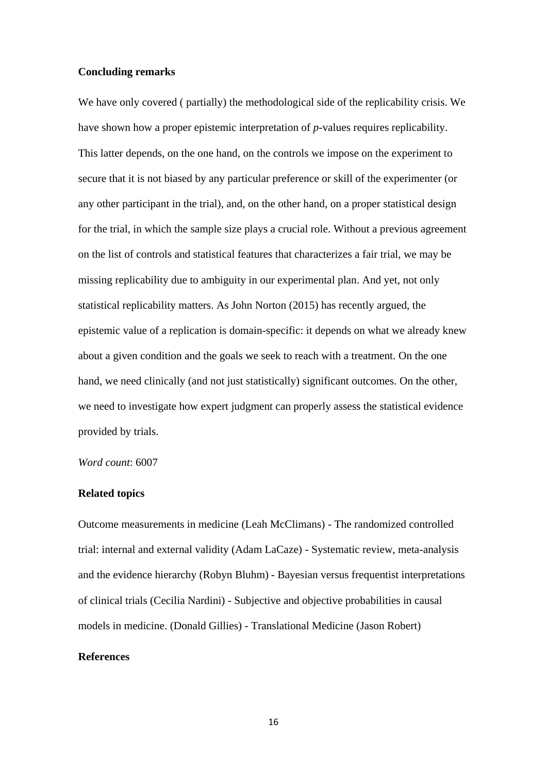### **Concluding remarks**

We have only covered ( partially) the methodological side of the replicability crisis. We have shown how a proper epistemic interpretation of *p*-values requires replicability. This latter depends, on the one hand, on the controls we impose on the experiment to secure that it is not biased by any particular preference or skill of the experimenter (or any other participant in the trial), and, on the other hand, on a proper statistical design for the trial, in which the sample size plays a crucial role. Without a previous agreement on the list of controls and statistical features that characterizes a fair trial, we may be missing replicability due to ambiguity in our experimental plan. And yet, not only statistical replicability matters. As John Norton (2015) has recently argued, the epistemic value of a replication is domain-specific: it depends on what we already knew about a given condition and the goals we seek to reach with a treatment. On the one hand, we need clinically (and not just statistically) significant outcomes. On the other, we need to investigate how expert judgment can properly assess the statistical evidence provided by trials.

#### *Word count*: 6007

#### **Related topics**

Outcome measurements in medicine (Leah McClimans) - The randomized controlled trial: internal and external validity (Adam LaCaze) - Systematic review, meta-analysis and the evidence hierarchy (Robyn Bluhm) - Bayesian versus frequentist interpretations of clinical trials (Cecilia Nardini) - Subjective and objective probabilities in causal models in medicine. (Donald Gillies) - Translational Medicine (Jason Robert)

## **References**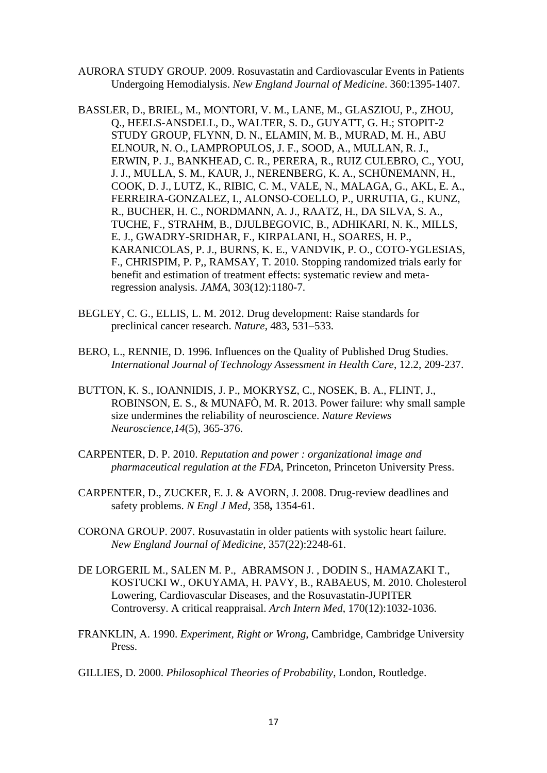AURORA STUDY GROUP. 2009. Rosuvastatin and Cardiovascular Events in Patients Undergoing Hemodialysis. *New England Journal of Medicine*. 360:1395-1407.

- BASSLER, D., BRIEL, M., MONTORI, V. M., LANE, M., GLASZIOU, P., ZHOU, Q., HEELS-ANSDELL, D., WALTER, S. D., GUYATT, G. H.; STOPIT-2 STUDY GROUP, FLYNN, D. N., ELAMIN, M. B., MURAD, M. H., ABU ELNOUR, N. O., LAMPROPULOS, J. F., SOOD, A., MULLAN, R. J., ERWIN, P. J., BANKHEAD, C. R., PERERA, R., RUIZ CULEBRO, C., YOU, J. J., MULLA, S. M., KAUR, J., NERENBERG, K. A., SCHÜNEMANN, H., COOK, D. J., LUTZ, K., RIBIC, C. M., VALE, N., MALAGA, G., AKL, E. A., FERREIRA-GONZALEZ, I., ALONSO-COELLO, P., URRUTIA, G., KUNZ, R., BUCHER, H. C., NORDMANN, A. J., RAATZ, H., DA SILVA, S. A., TUCHE, F., STRAHM, B., DJULBEGOVIC, B., ADHIKARI, N. K., MILLS, E. J., GWADRY-SRIDHAR, F., KIRPALANI, H., SOARES, H. P., KARANICOLAS, P. J., BURNS, K. E., VANDVIK, P. O., COTO-YGLESIAS, F., CHRISPIM, P. P,, RAMSAY, T. 2010. Stopping randomized trials early for benefit and estimation of treatment effects: systematic review and metaregression analysis. *JAMA*, 303(12):1180-7.
- BEGLEY, C. G., ELLIS, L. M. 2012. Drug development: Raise standards for preclinical cancer research. *Nature*, 483, 531–533.
- BERO, L., RENNIE, D. 1996. Influences on the Quality of Published Drug Studies. *International Journal of Technology Assessment in Health Care*, 12.2, 209-237.
- BUTTON, K. S., IOANNIDIS, J. P., MOKRYSZ, C., NOSEK, B. A., FLINT, J., ROBINSON, E. S., & MUNAFÒ, M. R. 2013. Power failure: why small sample size undermines the reliability of neuroscience. *Nature Reviews Neuroscience*,*14*(5), 365-376.
- CARPENTER, D. P. 2010. *Reputation and power : organizational image and pharmaceutical regulation at the FDA,* Princeton, Princeton University Press.
- CARPENTER, D., ZUCKER, E. J. & AVORN, J. 2008. Drug-review deadlines and safety problems. *N Engl J Med,* 358**,** 1354-61.
- CORONA GROUP. 2007. Rosuvastatin in older patients with systolic heart failure. *New England Journal of Medicine*, 357(22):2248-61.
- DE LORGERIL M., SALEN M. P., ABRAMSON J. , DODIN S., HAMAZAKI T., KOSTUCKI W., OKUYAMA, H. PAVY, B., RABAEUS, M. 2010. Cholesterol Lowering, Cardiovascular Diseases, and the Rosuvastatin-JUPITER Controversy. A critical reappraisal. *Arch Intern Med*, 170(12):1032-1036.
- FRANKLIN, A. 1990. *Experiment, Right or Wrong*, Cambridge, Cambridge University Press.
- GILLIES, D. 2000. *Philosophical Theories of Probability*, London, Routledge.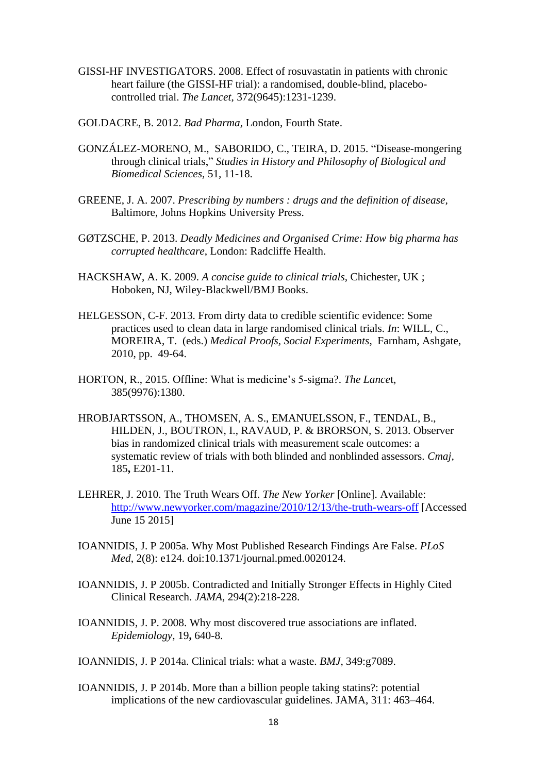- GISSI-HF INVESTIGATORS. 2008. Effect of rosuvastatin in patients with chronic heart failure (the GISSI-HF trial): a randomised, double-blind, placebocontrolled trial. *The Lancet*, 372(9645):1231-1239.
- GOLDACRE, B. 2012. *Bad Pharma,* London, Fourth State.
- GONZÁLEZ-MORENO, M., SABORIDO, C., TEIRA, D. 2015. "Disease-mongering through clinical trials," *Studies in History and Philosophy of Biological and Biomedical Sciences,* 51*,* 11-18.
- GREENE, J. A. 2007. *Prescribing by numbers : drugs and the definition of disease,*  Baltimore, Johns Hopkins University Press.
- GØTZSCHE, P. 2013. *Deadly Medicines and Organised Crime: How big pharma has corrupted healthcare*, London: Radcliffe Health.
- HACKSHAW, A. K. 2009. *A concise guide to clinical trials,* Chichester, UK ; Hoboken, NJ, Wiley-Blackwell/BMJ Books.
- HELGESSON, C-F. 2013. From dirty data to credible scientific evidence: Some practices used to clean data in large randomised clinical trials. *In*: WILL, C., MOREIRA, T. (eds.) *Medical Proofs, Social Experiments*, Farnham, Ashgate, 2010, pp. 49-64.
- HORTON, R., 2015. Offline: What is medicine's 5-sigma?. *The Lance*t, 385(9976):1380.
- HROBJARTSSON, A., THOMSEN, A. S., EMANUELSSON, F., TENDAL, B., HILDEN, J., BOUTRON, I., RAVAUD, P. & BRORSON, S. 2013. Observer bias in randomized clinical trials with measurement scale outcomes: a systematic review of trials with both blinded and nonblinded assessors. *Cmaj,* 185**,** E201-11.
- LEHRER, J. 2010. The Truth Wears Off. *The New Yorker* [Online]. Available: <http://www.newyorker.com/magazine/2010/12/13/the-truth-wears-off> [Accessed June 15 2015]
- IOANNIDIS, J. P 2005a. Why Most Published Research Findings Are False. *PLoS Med*, 2(8): e124. doi:10.1371/journal.pmed.0020124.
- IOANNIDIS, J. P 2005b. Contradicted and Initially Stronger Effects in Highly Cited Clinical Research. *JAMA*, 294(2):218-228.
- IOANNIDIS, J. P. 2008. Why most discovered true associations are inflated. *Epidemiology,* 19**,** 640-8.
- IOANNIDIS, J. P 2014a. Clinical trials: what a waste. *BMJ*, 349:g7089.
- IOANNIDIS, J. P 2014b. More than a billion people taking statins?: potential implications of the new cardiovascular guidelines. JAMA, 311: 463–464.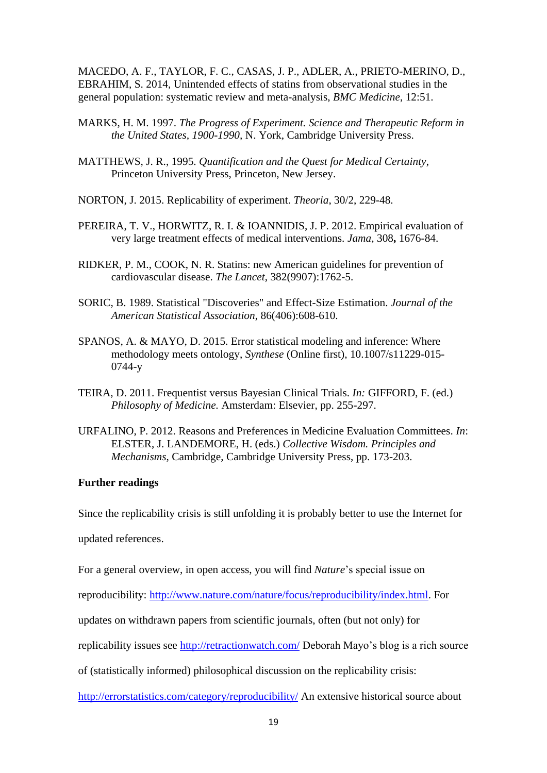MACEDO, A. F., TAYLOR, F. C., CASAS, J. P., ADLER, A., PRIETO-MERINO, D., EBRAHIM, S. 2014, Unintended effects of statins from observational studies in the general population: systematic review and meta-analysis, *BMC Medicine*, 12:51.

- MARKS, H. M. 1997. *The Progress of Experiment. Science and Therapeutic Reform in the United States, 1900-1990,* N. York, Cambridge University Press.
- MATTHEWS, J. R., 1995. *Quantification and the Quest for Medical Certainty*, Princeton University Press, Princeton, New Jersey.
- NORTON, J. 2015. Replicability of experiment. *Theoria*, 30/2, 229-48.
- PEREIRA, T. V., HORWITZ, R. I. & IOANNIDIS, J. P. 2012. Empirical evaluation of very large treatment effects of medical interventions. *Jama,* 308**,** 1676-84.
- RIDKER, P. M., COOK, N. R. Statins: new American guidelines for prevention of cardiovascular disease. *The Lancet*, 382(9907):1762-5.
- SORIC, B. 1989. Statistical "Discoveries" and Effect-Size Estimation. *Journal of the American Statistical Association*, 86(406):608-610.
- SPANOS, A. & MAYO, D. 2015. Error statistical modeling and inference: Where methodology meets ontology, *Synthese* (Online first), 10.1007/s11229-015- 0744-y
- TEIRA, D. 2011. Frequentist versus Bayesian Clinical Trials. *In:* GIFFORD, F. (ed.) *Philosophy of Medicine.* Amsterdam: Elsevier, pp. 255-297.
- URFALINO, P. 2012. Reasons and Preferences in Medicine Evaluation Committees. *In*: ELSTER, J. LANDEMORE, H. (eds.) *Collective Wisdom. Principles and Mechanisms*, Cambridge, Cambridge University Press, pp. 173-203.

## **Further readings**

Since the replicability crisis is still unfolding it is probably better to use the Internet for

updated references.

For a general overview, in open access, you will find *Nature*'s special issue on

reproducibility: [http://www.nature.com/nature/focus/reproducibility/index.html.](http://www.nature.com/nature/focus/reproducibility/index.html) For

updates on withdrawn papers from scientific journals, often (but not only) for

replicability issues see<http://retractionwatch.com/> Deborah Mayo's blog is a rich source

of (statistically informed) philosophical discussion on the replicability crisis:

<http://errorstatistics.com/category/reproducibility/> An extensive historical source about